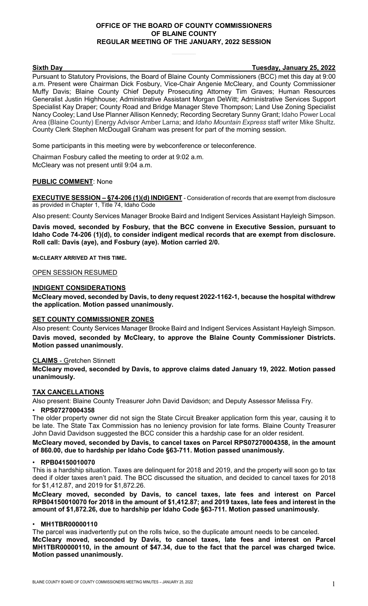# **OFFICE OF THE BOARD OF COUNTY COMMISSIONERS OF BLAINE COUNTY REGULAR MEETING OF THE JANUARY, 2022 SESSION**

# **Sixth Day Tuesday, January 25, 2022**

Pursuant to Statutory Provisions, the Board of Blaine County Commissioners (BCC) met this day at 9:00 a.m. Present were Chairman Dick Fosbury, Vice-Chair Angenie McCleary, and County Commissioner Muffy Davis; Blaine County Chief Deputy Prosecuting Attorney Tim Graves; Human Resources Generalist Justin Highhouse; Administrative Assistant Morgan DeWitt; Administrative Services Support Specialist Kay Draper; County Road and Bridge Manager Steve Thompson; Land Use Zoning Specialist Nancy Cooley; Land Use Planner Allison Kennedy; Recording Secretary Sunny Grant; Idaho Power Local Area (Blaine County) Energy Advisor Amber Larna; and *Idaho Mountain Express* staff writer Mike Shultz. County Clerk Stephen McDougall Graham was present for part of the morning session.

Some participants in this meeting were by webconference or teleconference.

Chairman Fosbury called the meeting to order at 9:02 a.m. McCleary was not present until 9:04 a.m.

# **PUBLIC COMMENT**: None

**EXECUTIVE SESSION – §74-206 (1)(d) INDIGENT** - Consideration of records that are exempt from disclosure as provided in Chapter 1, Title 74, Idaho Code

Also present: County Services Manager Brooke Baird and Indigent Services Assistant Hayleigh Simpson.

**Davis moved, seconded by Fosbury, that the BCC convene in Executive Session, pursuant to Idaho Code 74-206 (1)(d), to consider indigent medical records that are exempt from disclosure. Roll call: Davis (aye), and Fosbury (aye). Motion carried 2/0.**

**MCCLEARY ARRIVED AT THIS TIME.**

#### OPEN SESSION RESUMED

#### **INDIGENT CONSIDERATIONS**

**McCleary moved, seconded by Davis, to deny request 2022-1162-1, because the hospital withdrew the application. Motion passed unanimously.**

#### **SET COUNTY COMMISSIONER ZONES**

Also present: County Services Manager Brooke Baird and Indigent Services Assistant Hayleigh Simpson. **Davis moved, seconded by McCleary, to approve the Blaine County Commissioner Districts. Motion passed unanimously.**

#### **CLAIMS** - Gretchen Stinnett

**McCleary moved, seconded by Davis, to approve claims dated January 19, 2022. Motion passed unanimously.**

# **TAX CANCELLATIONS**

Also present: Blaine County Treasurer John David Davidson; and Deputy Assessor Melissa Fry.

#### • **RPS07270004358**

The older property owner did not sign the State Circuit Breaker application form this year, causing it to be late. The State Tax Commission has no leniency provision for late forms. Blaine County Treasurer John David Davidson suggested the BCC consider this a hardship case for an older resident.

**McCleary moved, seconded by Davis, to cancel taxes on Parcel RPS07270004358, in the amount of 860.00, due to hardship per Idaho Code §63-711. Motion passed unanimously.**

#### • **RPB04150010070**

This is a hardship situation. Taxes are delinquent for 2018 and 2019, and the property will soon go to tax deed if older taxes aren't paid. The BCC discussed the situation, and decided to cancel taxes for 2018 for \$1,412.87, and 2019 for \$1,872.26.

**McCleary moved, seconded by Davis, to cancel taxes, late fees and interest on Parcel RPB04150010070 for 2018 in the amount of \$1,412.87; and 2019 taxes, late fees and interest in the amount of \$1,872.26, due to hardship per Idaho Code §63-711. Motion passed unanimously.**

#### • **MH1TBR00000110**

The parcel was inadvertently put on the rolls twice, so the duplicate amount needs to be canceled. **McCleary moved, seconded by Davis, to cancel taxes, late fees and interest on Parcel MH1TBR00000110, in the amount of \$47.34, due to the fact that the parcel was charged twice. Motion passed unanimously.**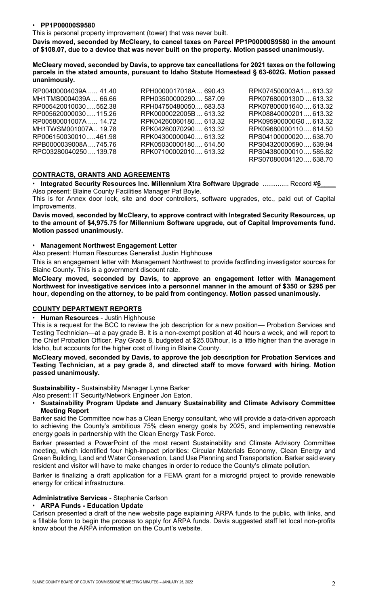## • **PP1P00000S9580**

This is personal property improvement (tower) that was never built.

**Davis moved, seconded by McCleary, to cancel taxes on Parcel PP1P00000S9580 in the amount of \$108.07, due to a device that was never built on the property. Motion passed unanimously.**

**McCleary moved, seconded by Davis, to approve tax cancellations for 2021 taxes on the following parcels in the stated amounts, pursuant to Idaho Statute Homestead § 63-602G. Motion passed unanimously.**

| RP00400004039A  41.40  | RPH0000017018A 690.43  | RPK074500003A1, 613.32 |
|------------------------|------------------------|------------------------|
| MH1TMS0004039A  66.66  | RPH03500000290 587.09  | RPK0768000130D  613.32 |
| RP005420010030552.38   | RPH04750480050, 683.53 | RPK07800001640613.32   |
| RP005620000030115.26   | RPK0000022005B  613.32 | RPK08840000201613.32   |
| RP00580001007A  14.72  | RPK04260060180, 613.32 | RPK095900000G0613.32   |
| MH1TWSM001007A., 19.78 | RPK04260070290, 613.32 | RPK09680000110614.50   |
| RP006150030010461.98   | RPK04300000040, 613.32 | RPS04100000020638.70   |
| RPB0000039008A745.76   | RPK05030000180, 614.50 | RPS04320000590639.94   |
| RPC03280040250  139.78 | RPK07100002010 613.32  | RPS04380000010585.82   |
|                        |                        | RPS07080004120638.70   |

# **CONTRACTS, GRANTS AND AGREEMENTS**

• **Integrated Security Resources Inc. Millennium Xtra Software Upgrade** .............. Record #**6\_\_\_\_** Also present: Blaine County Facilities Manager Pat Boyle.

This is for Annex door lock, site and door controllers, software upgrades, etc., paid out of Capital Improvements.

**Davis moved, seconded by McCleary, to approve contract with Integrated Security Resources, up to the amount of \$4,975.75 for Millennium Software upgrade, out of Capital Improvements fund. Motion passed unanimously.**

#### • **Management Northwest Engagement Letter**

Also present: Human Resources Generalist Justin Highhouse

This is an engagement letter with Management Northwest to provide factfinding investigator sources for Blaine County. This is a government discount rate.

**McCleary moved, seconded by Davis, to approve an engagement letter with Management Northwest for investigative services into a personnel manner in the amount of \$350 or \$295 per hour, depending on the attorney, to be paid from contingency. Motion passed unanimously.**

#### **COUNTY DEPARTMENT REPORTS**

• **Human Resources** - Justin Highhouse

This is a request for the BCC to review the job description for a new position— Probation Services and Testing Technician—at a pay grade B. It is a non-exempt position at 40 hours a week, and will report to the Chief Probation Officer. Pay Grade 8, budgeted at \$25.00/hour, is a little higher than the average in Idaho, but accounts for the higher cost of living in Blaine County.

## **McCleary moved, seconded by Davis, to approve the job description for Probation Services and Testing Technician, at a pay grade 8, and directed staff to move forward with hiring. Motion passed unanimously.**

**Sustainability** - Sustainability Manager Lynne Barker

Also present: IT Security/Network Engineer Jon Eaton.

• **Sustainability Program Update and January Sustainability and Climate Advisory Committee Meeting Report**

Barker said the Committee now has a Clean Energy consultant, who will provide a data-driven approach to achieving the County's ambitious 75% clean energy goals by 2025, and implementing renewable energy goals in partnership with the Clean Energy Task Force.

Barker presented a PowerPoint of the most recent Sustainability and Climate Advisory Committee meeting, which identified four high-impact priorities: Circular Materials Economy, Clean Energy and Green Building, Land and Water Conservation, Land Use Planning and Transportation. Barker said every resident and visitor will have to make changes in order to reduce the County's climate pollution.

Barker is finalizing a draft application for a FEMA grant for a microgrid project to provide renewable energy for critical infrastructure.

#### **Administrative Services** - Stephanie Carlson

#### • **ARPA Funds - Education Update**

Carlson presented a draft of the new website page explaining ARPA funds to the public, with links, and a fillable form to begin the process to apply for ARPA funds. Davis suggested staff let local non-profits know about the ARPA information on the Count's website.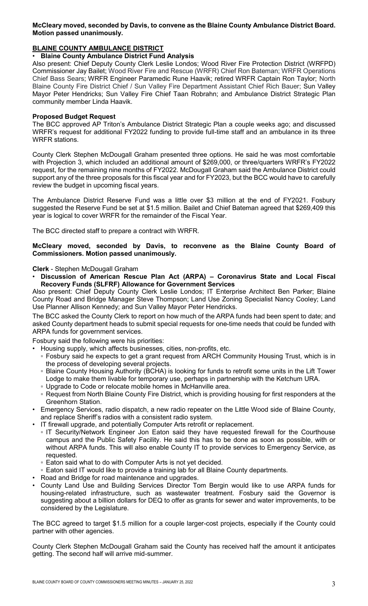# **McCleary moved, seconded by Davis, to convene as the Blaine County Ambulance District Board. Motion passed unanimously.**

# **BLAINE COUNTY AMBULANCE DISTRICT**

# • **Blaine County Ambulance District Fund Analysis**

Also present: Chief Deputy County Clerk Leslie Londos; Wood River Fire Protection District (WRFPD) Commissioner Jay Bailet; Wood River Fire and Rescue (WRFR) Chief Ron Bateman; WRFR Operations Chief Bass Sears; WRFR Engineer Paramedic Rune Haavik; retired WRFR Captain Ron Taylor; North Blaine County Fire District Chief / Sun Valley Fire Department Assistant Chief Rich Bauer; Sun Valley Mayor Peter Hendricks; Sun Valley Fire Chief Taan Robrahn; and Ambulance District Strategic Plan community member Linda Haavik.

# **Proposed Budget Request**

The BCC approved AP Triton's Ambulance District Strategic Plan a couple weeks ago; and discussed WRFR's request for additional FY2022 funding to provide full-time staff and an ambulance in its three WRFR stations.

County Clerk Stephen McDougall Graham presented three options. He said he was most comfortable with Projection 3, which included an additional amount of \$269,000, or three/quarters WRFR's FY2022 request, for the remaining nine months of FY2022. McDougall Graham said the Ambulance District could support any of the three proposals for this fiscal year and for FY2023, but the BCC would have to carefully review the budget in upcoming fiscal years.

The Ambulance District Reserve Fund was a little over \$3 million at the end of FY2021. Fosbury suggested the Reserve Fund be set at \$1.5 million. Bailet and Chief Bateman agreed that \$269,409 this year is logical to cover WRFR for the remainder of the Fiscal Year.

The BCC directed staff to prepare a contract with WRFR.

# **McCleary moved, seconded by Davis, to reconvene as the Blaine County Board of Commissioners. Motion passed unanimously.**

**Clerk** - Stephen McDougall Graham

• **Discussion of American Rescue Plan Act (ARPA) – [Coronavirus State and Local Fiscal](https://home.treasury.gov/system/files/136/SLFRF-Final-Rule-Overview.pdf)  [Recovery Funds \(SLFRF\)](https://home.treasury.gov/system/files/136/SLFRF-Final-Rule-Overview.pdf) Allowance for Government Services**

Also present: Chief Deputy County Clerk Leslie Londos; IT Enterprise Architect Ben Parker; Blaine County Road and Bridge Manager Steve Thompson; Land Use Zoning Specialist Nancy Cooley; Land Use Planner Allison Kennedy; and Sun Valley Mayor Peter Hendricks.

The BCC asked the County Clerk to report on how much of the ARPA funds had been spent to date; and asked County department heads to submit special requests for one-time needs that could be funded with ARPA funds for government services.

Fosbury said the following were his priorities:

- Housing supply, which affects businesses, cities, non-profits, etc.
	- Fosbury said he expects to get a grant request from ARCH Community Housing Trust, which is in the process of developing several projects.
	- Blaine County Housing Authority (BCHA) is looking for funds to retrofit some units in the Lift Tower Lodge to make them livable for temporary use, perhaps in partnership with the Ketchum URA.
	- Upgrade to Code or relocate mobile homes in McHanville area.
- Request from North Blaine County Fire District, which is providing housing for first responders at the Greenhorn Station.
- Emergency Services, radio dispatch, a new radio repeater on the Little Wood side of Blaine County, and replace Sheriff's radios with a consistent radio system.
- IT firewall upgrade, and potentially Computer Arts retrofit or replacement.
	- IT Security/Network Engineer Jon Eaton said they have requested firewall for the Courthouse campus and the Public Safety Facility. He said this has to be done as soon as possible, with or without ARPA funds. This will also enable County IT to provide services to Emergency Service, as requested.
	- Eaton said what to do with Computer Arts is not yet decided.
	- Eaton said IT would like to provide a training lab for all Blaine County departments.
- Road and Bridge for road maintenance and upgrades.
- County Land Use and Building Services Director Tom Bergin would like to use ARPA funds for housing-related infrastructure, such as wastewater treatment. Fosbury said the Governor is suggesting about a billion dollars for DEQ to offer as grants for sewer and water improvements, to be considered by the Legislature.

The BCC agreed to target \$1.5 million for a couple larger-cost projects, especially if the County could partner with other agencies.

County Clerk Stephen McDougall Graham said the County has received half the amount it anticipates getting. The second half will arrive mid-summer.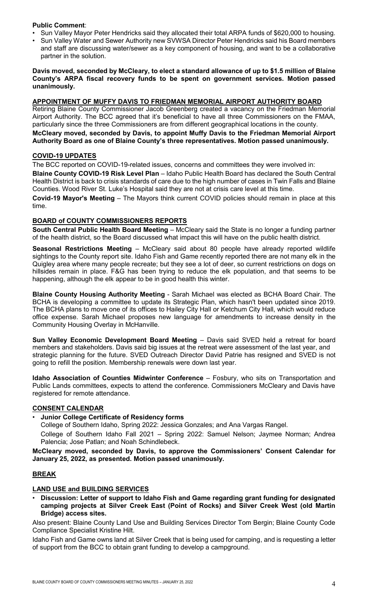# **Public Comment**:

- Sun Valley Mayor Peter Hendricks said they allocated their total ARPA funds of \$620,000 to housing.
- Sun Valley Water and Sewer Authority new SVWSA Director Peter Hendricks said his Board members and staff are discussing water/sewer as a key component of housing, and want to be a collaborative partner in the solution.

## **Davis moved, seconded by McCleary, to elect a standard allowance of up to \$1.5 million of Blaine County's ARPA fiscal recovery funds to be spent on government services. Motion passed unanimously.**

# **APPOINTMENT OF MUFFY DAVIS TO FRIEDMAN MEMORIAL AIRPORT AUTHORITY BOARD**

Retiring Blaine County Commissioner Jacob Greenberg created a vacancy on the Friedman Memorial Airport Authority. The BCC agreed that it's beneficial to have all three Commissioners on the FMAA, particularly since the three Commissioners are from different geographical locations in the county.

# **McCleary moved, seconded by Davis, to appoint Muffy Davis to the Friedman Memorial Airport Authority Board as one of Blaine County's three representatives. Motion passed unanimously.**

# **COVID-19 UPDATES**

The BCC reported on COVID-19-related issues, concerns and committees they were involved in:

**Blaine County COVID-19 Risk Level Plan** – Idaho Public Health Board has declared the South Central Health District is back to crisis standards of care due to the high number of cases in Twin Falls and Blaine Counties. Wood River St. Luke's Hospital said they are not at crisis care level at this time.

**Covid-19 Mayor's Meeting** – The Mayors think current COVID policies should remain in place at this time.

# **BOARD of COUNTY COMMISSIONERS REPORTS**

**South Central Public Health Board Meeting** – McCleary said the State is no longer a funding partner of the health district, so the Board discussed what impact this will have on the public health district.

**Seasonal Restrictions Meeting** – McCleary said about 80 people have already reported wildlife sightings to the County report site. Idaho Fish and Game recently reported there are not many elk in the Quigley area where many people recreate; but they see a lot of deer, so current restrictions on dogs on hillsides remain in place. F&G has been trying to reduce the elk population, and that seems to be happening, although the elk appear to be in good health this winter.

**Blaine County Housing Authority Meeting** - Sarah Michael was elected as BCHA Board Chair. The BCHA is developing a committee to update its Strategic Plan, which hasn't been updated since 2019. The BCHA plans to move one of its offices to Hailey City Hall or Ketchum City Hall, which would reduce office expense. Sarah Michael proposes new language for amendments to increase density in the Community Housing Overlay in McHanville.

**Sun Valley Economic Development Board Meeting** – Davis said SVED held a retreat for board members and stakeholders. Davis said big issues at the retreat were assessment of the last year, and strategic planning for the future. SVED Outreach Director David Patrie has resigned and SVED is not going to refill the position. Membership renewals were down last year.

**Idaho Association of Counties Midwinter Conference** – Fosbury, who sits on Transportation and Public Lands committees, expects to attend the conference. Commissioners McCleary and Davis have registered for remote attendance.

# **CONSENT CALENDAR**

#### • **Junior College Certificate of Residency forms**

College of Southern Idaho, Spring 2022: Jessica Gonzales; and Ana Vargas Rangel.

College of Southern Idaho Fall 2021 – Spring 2022: Samuel Nelson; Jaymee Norman; Andrea Palencia; Jose Patlan; and Noah Schindlebeck.

**McCleary moved, seconded by Davis, to approve the Commissioners' Consent Calendar for January 25, 2022, as presented. Motion passed unanimously.**

# **BREAK**

# **LAND USE and BUILDING SERVICES**

• **Discussion: Letter of support to Idaho Fish and Game regarding grant funding for designated camping projects at Silver Creek East (Point of Rocks) and Silver Creek West (old Martin Bridge) access sites.**

Also present: Blaine County Land Use and Building Services Director Tom Bergin; Blaine County Code Compliance Specialist Kristine Hilt.

Idaho Fish and Game owns land at Silver Creek that is being used for camping, and is requesting a letter of support from the BCC to obtain grant funding to develop a campground.